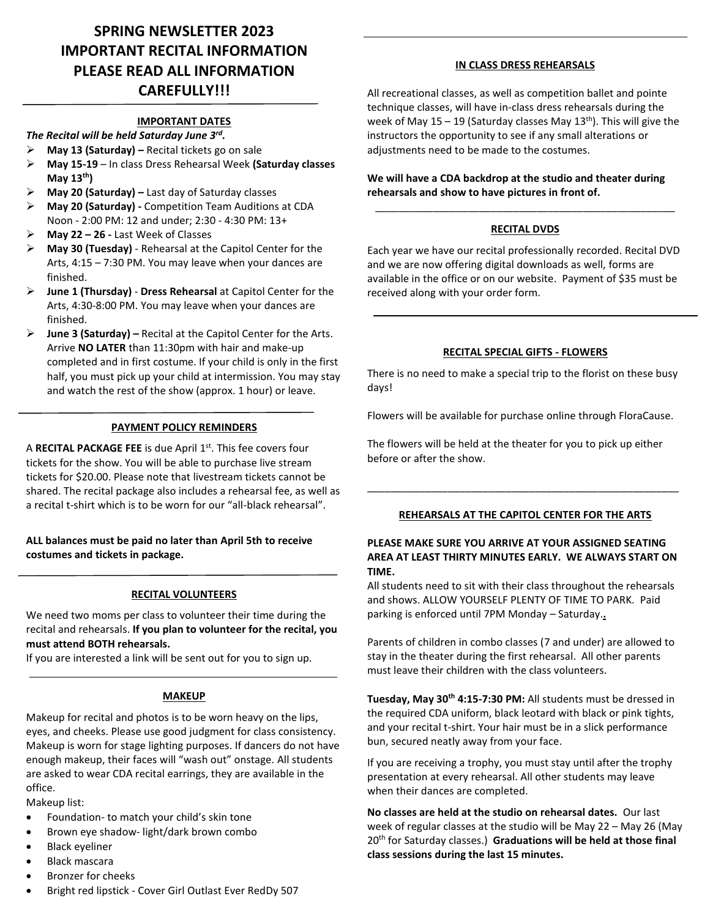# **SPRING NEWSLETTER 2023 IMPORTANT RECITAL INFORMATION PLEASE READ ALL INFORMATION CAREFULLY!!!**

#### **IMPORTANT DATES**

### *The Recital will be held Saturday June 3rd .*

- ➢ **May 13 (Saturday) –** Recital tickets go on sale
- ➢ **May 15-19** In class Dress Rehearsal Week **(Saturday classes May 13th)**
- ➢ **May 20 (Saturday) –** Last day of Saturday classes
- ➢ **May 20 (Saturday) -** Competition Team Auditions at CDA Noon - 2:00 PM: 12 and under; 2:30 - 4:30 PM: 13+
- ➢ **May 22 – 26 -** Last Week of Classes
- ➢ **May 30 (Tuesday)**  Rehearsal at the Capitol Center for the Arts, 4:15 – 7:30 PM. You may leave when your dances are finished.
- ➢ **June 1 (Thursday) Dress Rehearsal** at Capitol Center for the Arts, 4:30-8:00 PM. You may leave when your dances are finished.
- ➢ **June 3 (Saturday) –** Recital at the Capitol Center for the Arts. Arrive **NO LATER** than 11:30pm with hair and make-up completed and in first costume. If your child is only in the first half, you must pick up your child at intermission. You may stay and watch the rest of the show (approx. 1 hour) or leave.

### **PAYMENT POLICY REMINDERS**

A **RECITAL PACKAGE FEE** is due April 1 st. This fee covers four tickets for the show. You will be able to purchase live stream tickets for \$20.00. Please note that livestream tickets cannot be shared. The recital package also includes a rehearsal fee, as well as a recital t-shirt which is to be worn for our "all-black rehearsal".

**ALL balances must be paid no later than April 5th to receive costumes and tickets in package.**

### **RECITAL VOLUNTEERS**

We need two moms per class to volunteer their time during the recital and rehearsals. **If you plan to volunteer for the recital, you must attend BOTH rehearsals.**

If you are interested a link will be sent out for you to sign up.

### **MAKEUP**

Makeup for recital and photos is to be worn heavy on the lips, eyes, and cheeks. Please use good judgment for class consistency. Makeup is worn for stage lighting purposes. If dancers do not have enough makeup, their faces will "wash out" onstage. All students are asked to wear CDA recital earrings, they are available in the office.

Makeup list:

- Foundation- to match your child's skin tone
- Brown eye shadow- light/dark brown combo
- Black eyeliner
- Black mascara
- Bronzer for cheeks
- Bright red lipstick Cover Girl Outlast Ever RedDy 507

### **IN CLASS DRESS REHEARSALS**

All recreational classes, as well as competition ballet and pointe technique classes, will have in-class dress rehearsals during the week of May 15 – 19 (Saturday classes May 13<sup>th</sup>). This will give the instructors the opportunity to see if any small alterations or adjustments need to be made to the costumes.

**We will have a CDA backdrop at the studio and theater during rehearsals and show to have pictures in front of.**

# \_\_\_\_\_\_\_\_\_\_\_\_\_\_\_\_\_\_\_\_\_\_\_\_\_\_\_\_\_\_\_\_\_\_\_\_\_\_\_\_\_\_\_\_\_\_\_\_\_\_\_\_ **RECITAL DVDS**

Each year we have our recital professionally recorded. Recital DVD and we are now offering digital downloads as well, forms are available in the office or on our website. Payment of \$35 must be received along with your order form.

### **RECITAL SPECIAL GIFTS - FLOWERS**

There is no need to make a special trip to the florist on these busy days!

Flowers will be available for purchase online through FloraCause.

The flowers will be held at the theater for you to pick up either before or after the show.

### **REHEARSALS AT THE CAPITOL CENTER FOR THE ARTS**

\_\_\_\_\_\_\_\_\_\_\_\_\_\_\_\_\_\_\_\_\_\_\_\_\_\_\_\_\_\_\_\_\_\_\_\_\_\_\_\_\_\_\_\_\_\_\_\_\_\_\_\_\_\_

#### **PLEASE MAKE SURE YOU ARRIVE AT YOUR ASSIGNED SEATING AREA AT LEAST THIRTY MINUTES EARLY. WE ALWAYS START ON TIME.**

All students need to sit with their class throughout the rehearsals and shows. ALLOW YOURSELF PLENTY OF TIME TO PARK. Paid parking is enforced until 7PM Monday – Saturday.**.**

Parents of children in combo classes (7 and under) are allowed to stay in the theater during the first rehearsal. All other parents must leave their children with the class volunteers.

**Tuesday, May 30th 4:15-7:30 PM:** All students must be dressed in the required CDA uniform, black leotard with black or pink tights, and your recital t-shirt. Your hair must be in a slick performance bun, secured neatly away from your face.

If you are receiving a trophy, you must stay until after the trophy presentation at every rehearsal. All other students may leave when their dances are completed.

**No classes are held at the studio on rehearsal dates.** Our last week of regular classes at the studio will be May 22 – May 26 (May 20 th for Saturday classes.) **Graduations will be held at those final class sessions during the last 15 minutes.**